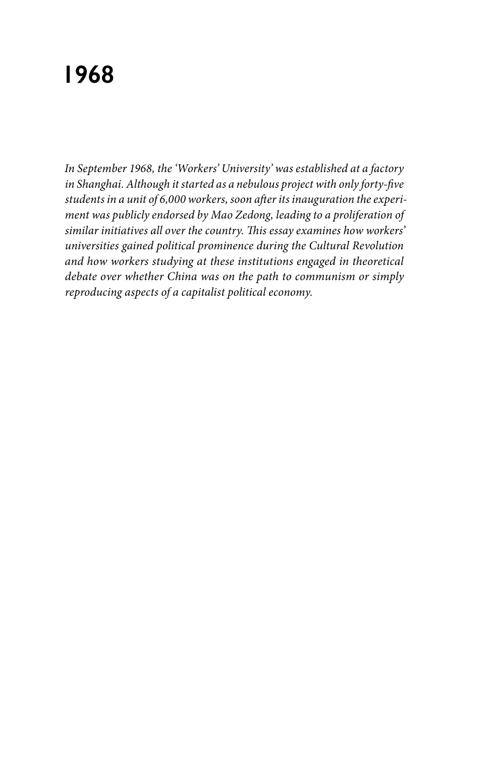# **1968**

*In September 1968, the 'Workers' University' was established at a factory in Shanghai. Although it started as a nebulous project with only forty-five students in a unit of 6,000 workers, soon after its inauguration the experiment was publicly endorsed by Mao Zedong, leading to a proliferation of similar initiatives all over the country. This essay examines how workers' universities gained political prominence during the Cultural Revolution and how workers studying at these institutions engaged in theoretical debate over whether China was on the path to communism or simply reproducing aspects of a capitalist political economy.*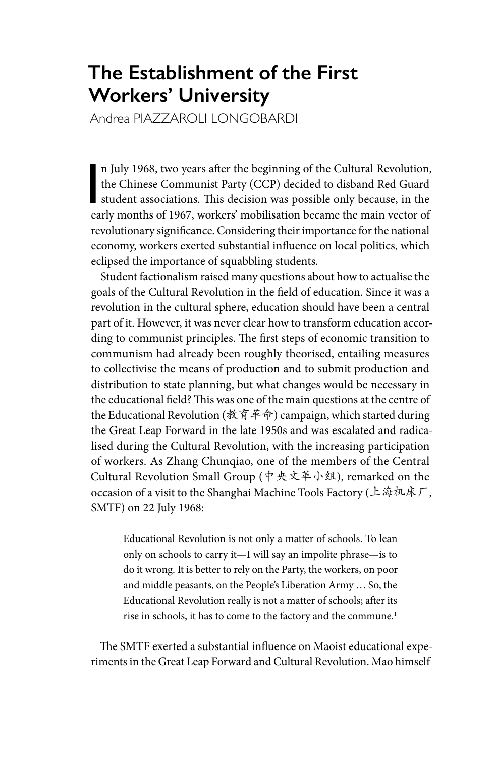## **The Establishment of the First Workers' University**

Andrea PIAZZAROLI LONGOBARDI

n July 1968, two years after the beginning of the Cultural Revolution,<br>the Chinese Communist Party (CCP) decided to disband Red Guard<br>student associations. This decision was possible only because, in the<br>early months of 19 n July 1968, two years after the beginning of the Cultural Revolution, the Chinese Communist Party (CCP) decided to disband Red Guard early months of 1967, workers' mobilisation became the main vector of revolutionary significance. Considering their importance for the national economy, workers exerted substantial influence on local politics, which eclipsed the importance of squabbling students.

Student factionalism raised many questions about how to actualise the goals of the Cultural Revolution in the field of education. Since it was a revolution in the cultural sphere, education should have been a central part of it. However, it was never clear how to transform education according to communist principles. The first steps of economic transition to communism had already been roughly theorised, entailing measures to collectivise the means of production and to submit production and distribution to state planning, but what changes would be necessary in the educational field? This was one of the main questions at the centre of the Educational Revolution (教育革命) campaign, which started during the Great Leap Forward in the late 1950s and was escalated and radicalised during the Cultural Revolution, with the increasing participation of workers. As Zhang Chunqiao, one of the members of the Central Cultural Revolution Small Group (中央文革小组), remarked on the occasion of a visit to the Shanghai Machine Tools Factory (上海机床厂, SMTF) on 22 July 1968:

Educational Revolution is not only a matter of schools. To lean only on schools to carry it—I will say an impolite phrase—is to do it wrong. It is better to rely on the Party, the workers, on poor and middle peasants, on the People's Liberation Army … So, the Educational Revolution really is not a matter of schools; after its rise in schools, it has to come to the factory and the commune.<sup>1</sup>

The SMTF exerted a substantial influence on Maoist educational experiments in the Great Leap Forward and Cultural Revolution. Mao himself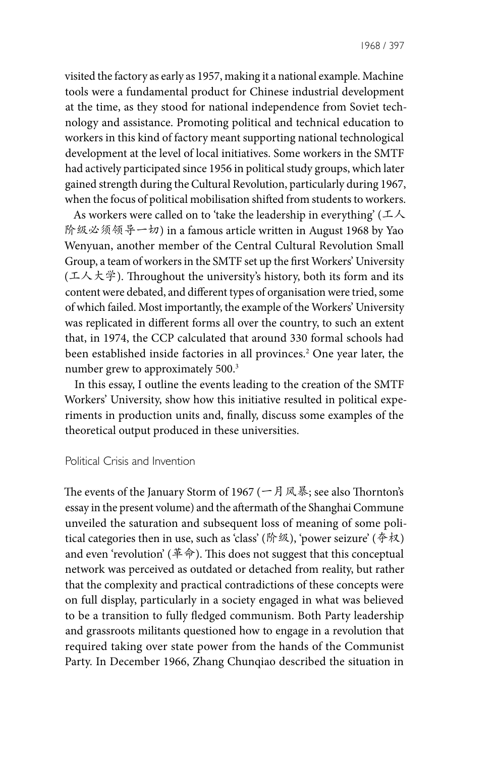visited the factory as early as 1957, making it a national example. Machine tools were a fundamental product for Chinese industrial development at the time, as they stood for national independence from Soviet technology and assistance. Promoting political and technical education to workers in this kind of factory meant supporting national technological development at the level of local initiatives. Some workers in the SMTF had actively participated since 1956 in political study groups, which later gained strength during the Cultural Revolution, particularly during 1967, when the focus of political mobilisation shifted from students to workers.

As workers were called on to 'take the leadership in everything' ( $\pm \lambda$ ) 阶级必须领导一切) in a famous article written in August 1968 by Yao Wenyuan, another member of the Central Cultural Revolution Small Group, a team of workers in the SMTF set up the first Workers' University (工人大学). Throughout the university's history, both its form and its content were debated, and different types of organisation were tried, some of which failed. Most importantly, the example of the Workers' University was replicated in different forms all over the country, to such an extent that, in 1974, the CCP calculated that around 330 formal schools had been established inside factories in all provinces.2 One year later, the number grew to approximately 500.3

In this essay, I outline the events leading to the creation of the SMTF Workers' University, show how this initiative resulted in political experiments in production units and, finally, discuss some examples of the theoretical output produced in these universities.

#### Political Crisis and Invention

The events of the January Storm of 1967 (一月风暴; see also Thornton's essay in the present volume) and the aftermath of the Shanghai Commune unveiled the saturation and subsequent loss of meaning of some political categories then in use, such as 'class' (阶级), 'power seizure' ( $\hat{\phi} \hat{\phi}$ ) and even 'revolution' (革命). This does not suggest that this conceptual network was perceived as outdated or detached from reality, but rather that the complexity and practical contradictions of these concepts were on full display, particularly in a society engaged in what was believed to be a transition to fully fledged communism. Both Party leadership and grassroots militants questioned how to engage in a revolution that required taking over state power from the hands of the Communist Party. In December 1966, Zhang Chunqiao described the situation in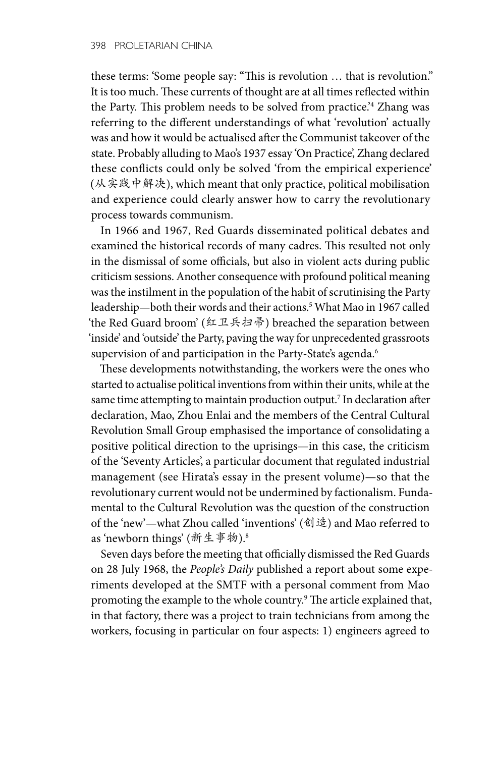these terms: 'Some people say: "This is revolution … that is revolution." It is too much. These currents of thought are at all times reflected within the Party. This problem needs to be solved from practice.'4 Zhang was referring to the different understandings of what 'revolution' actually was and how it would be actualised after the Communist takeover of the state. Probably alluding to Mao's 1937 essay 'On Practice', Zhang declared these conflicts could only be solved 'from the empirical experience' (从实践中解决), which meant that only practice, political mobilisation and experience could clearly answer how to carry the revolutionary process towards communism.

In 1966 and 1967, Red Guards disseminated political debates and examined the historical records of many cadres. This resulted not only in the dismissal of some officials, but also in violent acts during public criticism sessions. Another consequence with profound political meaning was the instilment in the population of the habit of scrutinising the Party leadership—both their words and their actions.<sup>5</sup> What Mao in 1967 called 'the Red Guard broom' (红卫兵扫帚) breached the separation between 'inside' and 'outside' the Party, paving the way for unprecedented grassroots supervision of and participation in the Party-State's agenda.<sup>6</sup>

These developments notwithstanding, the workers were the ones who started to actualise political inventions from within their units, while at the same time attempting to maintain production output.7 In declaration after declaration, Mao, Zhou Enlai and the members of the Central Cultural Revolution Small Group emphasised the importance of consolidating a positive political direction to the uprisings—in this case, the criticism of the 'Seventy Articles', a particular document that regulated industrial management (see Hirata's essay in the present volume)—so that the revolutionary current would not be undermined by factionalism. Fundamental to the Cultural Revolution was the question of the construction of the 'new'—what Zhou called 'inventions' (创造) and Mao referred to as 'newborn things' (新生事物).8

Seven days before the meeting that officially dismissed the Red Guards on 28 July 1968, the *People's Daily* published a report about some experiments developed at the SMTF with a personal comment from Mao promoting the example to the whole country.9 The article explained that, in that factory, there was a project to train technicians from among the workers, focusing in particular on four aspects: 1) engineers agreed to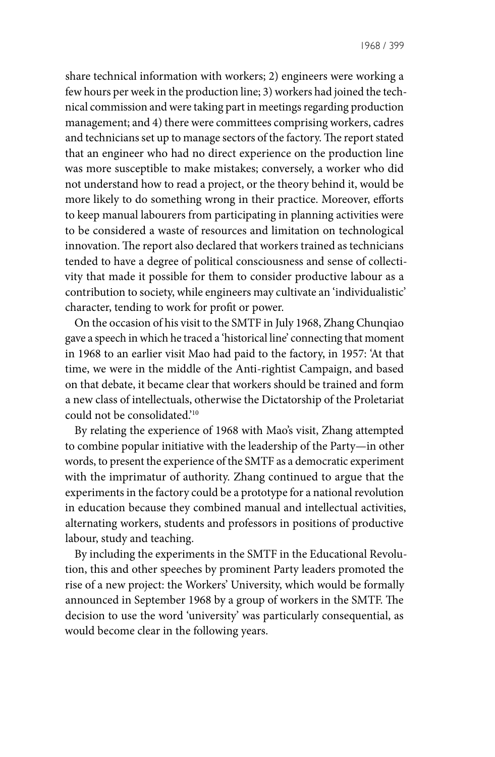share technical information with workers; 2) engineers were working a few hours per week in the production line; 3) workers had joined the technical commission and were taking part in meetings regarding production management; and 4) there were committees comprising workers, cadres and technicians set up to manage sectors of the factory. The report stated that an engineer who had no direct experience on the production line was more susceptible to make mistakes; conversely, a worker who did not understand how to read a project, or the theory behind it, would be more likely to do something wrong in their practice. Moreover, efforts to keep manual labourers from participating in planning activities were to be considered a waste of resources and limitation on technological innovation. The report also declared that workers trained as technicians tended to have a degree of political consciousness and sense of collectivity that made it possible for them to consider productive labour as a contribution to society, while engineers may cultivate an 'individualistic' character, tending to work for profit or power.

On the occasion of his visit to the SMTF in July 1968, Zhang Chunqiao gave a speech in which he traced a 'historical line' connecting that moment in 1968 to an earlier visit Mao had paid to the factory, in 1957: 'At that time, we were in the middle of the Anti-rightist Campaign, and based on that debate, it became clear that workers should be trained and form a new class of intellectuals, otherwise the Dictatorship of the Proletariat could not be consolidated.'10

By relating the experience of 1968 with Mao's visit, Zhang attempted to combine popular initiative with the leadership of the Party—in other words, to present the experience of the SMTF as a democratic experiment with the imprimatur of authority. Zhang continued to argue that the experiments in the factory could be a prototype for a national revolution in education because they combined manual and intellectual activities, alternating workers, students and professors in positions of productive labour, study and teaching.

By including the experiments in the SMTF in the Educational Revolution, this and other speeches by prominent Party leaders promoted the rise of a new project: the Workers' University, which would be formally announced in September 1968 by a group of workers in the SMTF. The decision to use the word 'university' was particularly consequential, as would become clear in the following years.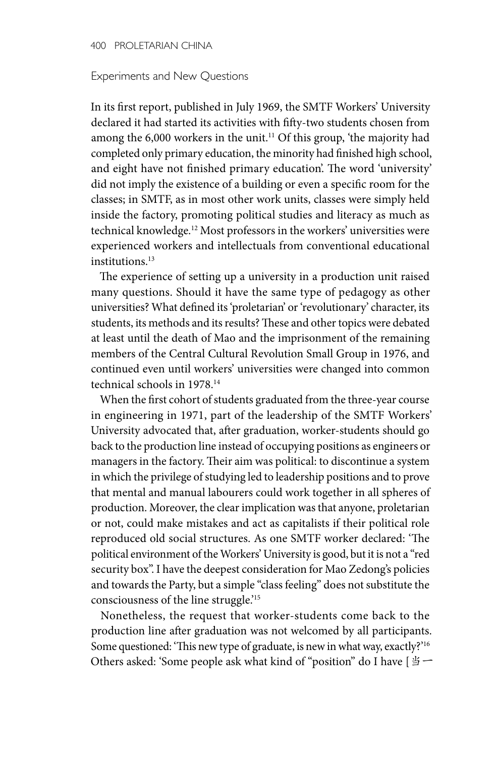#### Experiments and New Questions

In its first report, published in July 1969, the SMTF Workers' University declared it had started its activities with fifty-two students chosen from among the 6,000 workers in the unit.<sup>11</sup> Of this group, 'the majority had completed only primary education, the minority had finished high school, and eight have not finished primary education'. The word 'university' did not imply the existence of a building or even a specific room for the classes; in SMTF, as in most other work units, classes were simply held inside the factory, promoting political studies and literacy as much as technical knowledge.12 Most professors in the workers' universities were experienced workers and intellectuals from conventional educational institutions.<sup>13</sup>

The experience of setting up a university in a production unit raised many questions. Should it have the same type of pedagogy as other universities? What defined its 'proletarian' or 'revolutionary' character, its students, its methods and its results? These and other topics were debated at least until the death of Mao and the imprisonment of the remaining members of the Central Cultural Revolution Small Group in 1976, and continued even until workers' universities were changed into common technical schools in 1978.14

When the first cohort of students graduated from the three-year course in engineering in 1971, part of the leadership of the SMTF Workers' University advocated that, after graduation, worker-students should go back to the production line instead of occupying positions as engineers or managers in the factory. Their aim was political: to discontinue a system in which the privilege of studying led to leadership positions and to prove that mental and manual labourers could work together in all spheres of production. Moreover, the clear implication was that anyone, proletarian or not, could make mistakes and act as capitalists if their political role reproduced old social structures. As one SMTF worker declared: 'The political environment of the Workers' University is good, but it is not a "red security box". I have the deepest consideration for Mao Zedong's policies and towards the Party, but a simple "class feeling" does not substitute the consciousness of the line struggle.'15

Nonetheless, the request that worker-students come back to the production line after graduation was not welcomed by all participants. Some questioned: 'This new type of graduate, is new in what way, exactly?'16 Others asked: 'Some people ask what kind of "position" do I have [当一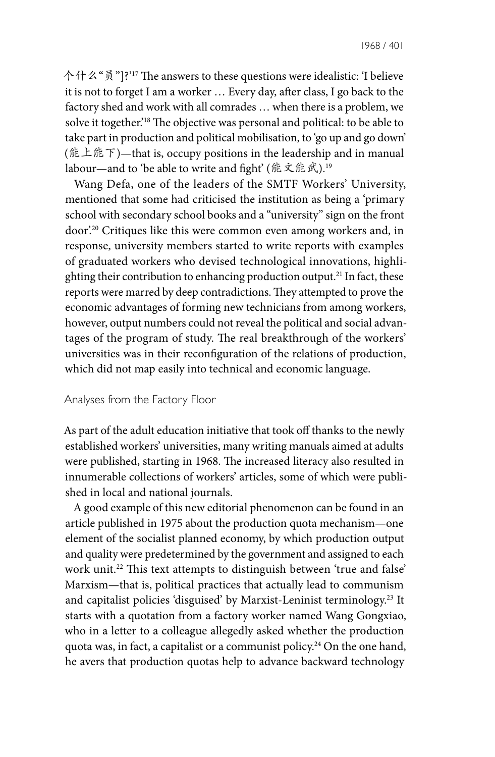1968 / 401

个什么"员"]?'<sup>17</sup> The answers to these questions were idealistic: 'I believe it is not to forget I am a worker … Every day, after class, I go back to the factory shed and work with all comrades … when there is a problem, we solve it together.'18 The objective was personal and political: to be able to take part in production and political mobilisation, to 'go up and go down' (能上能下)—that is, occupy positions in the leadership and in manual labour—and to 'be able to write and fight' (能文能武).<sup>19</sup>

Wang Defa, one of the leaders of the SMTF Workers' University, mentioned that some had criticised the institution as being a 'primary school with secondary school books and a "university" sign on the front door'.20 Critiques like this were common even among workers and, in response, university members started to write reports with examples of graduated workers who devised technological innovations, highlighting their contribution to enhancing production output.<sup>21</sup> In fact, these reports were marred by deep contradictions. They attempted to prove the economic advantages of forming new technicians from among workers, however, output numbers could not reveal the political and social advantages of the program of study. The real breakthrough of the workers' universities was in their reconfiguration of the relations of production, which did not map easily into technical and economic language.

#### Analyses from the Factory Floor

As part of the adult education initiative that took off thanks to the newly established workers' universities, many writing manuals aimed at adults were published, starting in 1968. The increased literacy also resulted in innumerable collections of workers' articles, some of which were published in local and national journals.

A good example of this new editorial phenomenon can be found in an article published in 1975 about the production quota mechanism—one element of the socialist planned economy, by which production output and quality were predetermined by the government and assigned to each work unit.<sup>22</sup> This text attempts to distinguish between 'true and false' Marxism—that is, political practices that actually lead to communism and capitalist policies 'disguised' by Marxist-Leninist terminology.23 It starts with a quotation from a factory worker named Wang Gongxiao, who in a letter to a colleague allegedly asked whether the production quota was, in fact, a capitalist or a communist policy.24 On the one hand, he avers that production quotas help to advance backward technology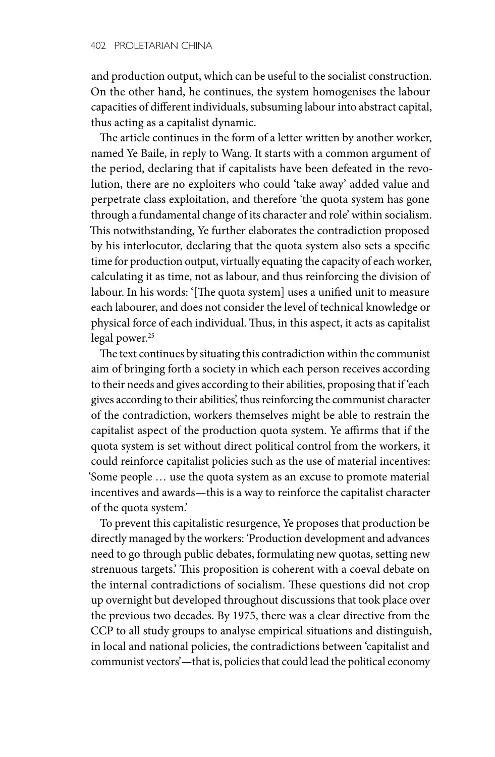and production output, which can be useful to the socialist construction. On the other hand, he continues, the system homogenises the labour capacities of different individuals, subsuming labour into abstract capital, thus acting as a capitalist dynamic.

The article continues in the form of a letter written by another worker, named Ye Baile, in reply to Wang. It starts with a common argument of the period, declaring that if capitalists have been defeated in the revolution, there are no exploiters who could 'take away' added value and perpetrate class exploitation, and therefore 'the quota system has gone through a fundamental change of its character and role' within socialism. This notwithstanding, Ye further elaborates the contradiction proposed by his interlocutor, declaring that the quota system also sets a specific time for production output, virtually equating the capacity of each worker, calculating it as time, not as labour, and thus reinforcing the division of labour. In his words: '[The quota system] uses a unified unit to measure each labourer, and does not consider the level of technical knowledge or physical force of each individual. Thus, in this aspect, it acts as capitalist legal power.<sup>25</sup>

The text continues by situating this contradiction within the communist aim of bringing forth a society in which each person receives according to their needs and gives according to their abilities, proposing that if 'each gives according to their abilities', thus reinforcing the communist character of the contradiction, workers themselves might be able to restrain the capitalist aspect of the production quota system. Ye affirms that if the quota system is set without direct political control from the workers, it could reinforce capitalist policies such as the use of material incentives: 'Some people … use the quota system as an excuse to promote material incentives and awards—this is a way to reinforce the capitalist character of the quota system.'

To prevent this capitalistic resurgence, Ye proposes that production be directly managed by the workers: 'Production development and advances need to go through public debates, formulating new quotas, setting new strenuous targets.' This proposition is coherent with a coeval debate on the internal contradictions of socialism. These questions did not crop up overnight but developed throughout discussions that took place over the previous two decades. By 1975, there was a clear directive from the CCP to all study groups to analyse empirical situations and distinguish, in local and national policies, the contradictions between 'capitalist and communist vectors'—that is, policies that could lead the political economy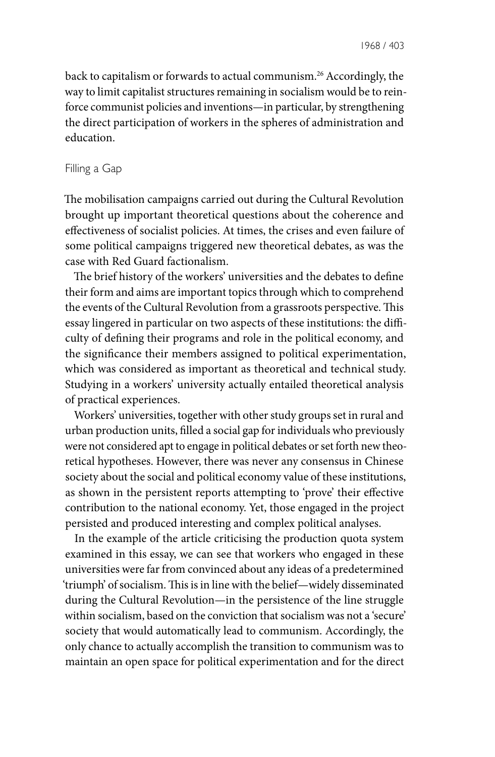back to capitalism or forwards to actual communism.26 Accordingly, the way to limit capitalist structures remaining in socialism would be to reinforce communist policies and inventions—in particular, by strengthening the direct participation of workers in the spheres of administration and education.

### Filling a Gap

The mobilisation campaigns carried out during the Cultural Revolution brought up important theoretical questions about the coherence and effectiveness of socialist policies. At times, the crises and even failure of some political campaigns triggered new theoretical debates, as was the case with Red Guard factionalism.

The brief history of the workers' universities and the debates to define their form and aims are important topics through which to comprehend the events of the Cultural Revolution from a grassroots perspective. This essay lingered in particular on two aspects of these institutions: the difficulty of defining their programs and role in the political economy, and the significance their members assigned to political experimentation, which was considered as important as theoretical and technical study. Studying in a workers' university actually entailed theoretical analysis of practical experiences.

Workers' universities, together with other study groups set in rural and urban production units, filled a social gap for individuals who previously were not considered apt to engage in political debates or set forth new theoretical hypotheses. However, there was never any consensus in Chinese society about the social and political economy value of these institutions, as shown in the persistent reports attempting to 'prove' their effective contribution to the national economy. Yet, those engaged in the project persisted and produced interesting and complex political analyses.

In the example of the article criticising the production quota system examined in this essay, we can see that workers who engaged in these universities were far from convinced about any ideas of a predetermined 'triumph' of socialism. This is in line with the belief—widely disseminated during the Cultural Revolution—in the persistence of the line struggle within socialism, based on the conviction that socialism was not a 'secure' society that would automatically lead to communism. Accordingly, the only chance to actually accomplish the transition to communism was to maintain an open space for political experimentation and for the direct